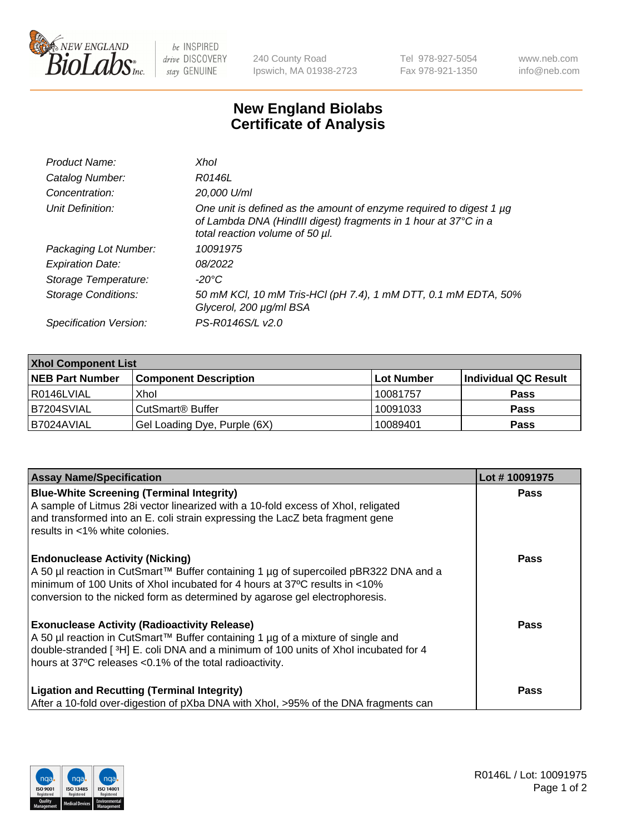

 $be$  INSPIRED drive DISCOVERY stay GENUINE

240 County Road Ipswich, MA 01938-2723 Tel 978-927-5054 Fax 978-921-1350 www.neb.com info@neb.com

## **New England Biolabs Certificate of Analysis**

| Product Name:              | Xhol                                                                                                                                                                      |
|----------------------------|---------------------------------------------------------------------------------------------------------------------------------------------------------------------------|
| Catalog Number:            | R0146L                                                                                                                                                                    |
| Concentration:             | 20,000 U/ml                                                                                                                                                               |
| Unit Definition:           | One unit is defined as the amount of enzyme required to digest 1 µg<br>of Lambda DNA (HindIII digest) fragments in 1 hour at 37°C in a<br>total reaction volume of 50 µl. |
| Packaging Lot Number:      | 10091975                                                                                                                                                                  |
| <b>Expiration Date:</b>    | 08/2022                                                                                                                                                                   |
| Storage Temperature:       | -20°C                                                                                                                                                                     |
| <b>Storage Conditions:</b> | 50 mM KCl, 10 mM Tris-HCl (pH 7.4), 1 mM DTT, 0.1 mM EDTA, 50%<br>Glycerol, 200 µg/ml BSA                                                                                 |
| Specification Version:     | PS-R0146S/L v2.0                                                                                                                                                          |

| <b>Xhol Component List</b> |                              |             |                      |  |  |
|----------------------------|------------------------------|-------------|----------------------|--|--|
| <b>NEB Part Number</b>     | <b>Component Description</b> | ∣Lot Number | Individual QC Result |  |  |
| R0146LVIAL                 | Xhol                         | 10081757    | <b>Pass</b>          |  |  |
| IB7204SVIAL                | CutSmart® Buffer             | 10091033    | <b>Pass</b>          |  |  |
| B7024AVIAL                 | Gel Loading Dye, Purple (6X) | 10089401    | <b>Pass</b>          |  |  |

| <b>Assay Name/Specification</b>                                                                                                                                        | Lot #10091975 |
|------------------------------------------------------------------------------------------------------------------------------------------------------------------------|---------------|
| <b>Blue-White Screening (Terminal Integrity)</b><br>A sample of Litmus 28i vector linearized with a 10-fold excess of Xhol, religated                                  | <b>Pass</b>   |
| and transformed into an E. coli strain expressing the LacZ beta fragment gene<br>results in <1% white colonies.                                                        |               |
| <b>Endonuclease Activity (Nicking)</b>                                                                                                                                 | <b>Pass</b>   |
| A 50 µl reaction in CutSmart™ Buffer containing 1 µg of supercoiled pBR322 DNA and a<br>minimum of 100 Units of Xhol incubated for 4 hours at 37°C results in <10%     |               |
| conversion to the nicked form as determined by agarose gel electrophoresis.                                                                                            |               |
| <b>Exonuclease Activity (Radioactivity Release)</b>                                                                                                                    | <b>Pass</b>   |
| A 50 µl reaction in CutSmart™ Buffer containing 1 µg of a mixture of single and<br>double-stranded [3H] E. coli DNA and a minimum of 100 units of Xhol incubated for 4 |               |
| hours at 37°C releases <0.1% of the total radioactivity.                                                                                                               |               |
| <b>Ligation and Recutting (Terminal Integrity)</b>                                                                                                                     | <b>Pass</b>   |
| After a 10-fold over-digestion of pXba DNA with Xhol, >95% of the DNA fragments can                                                                                    |               |